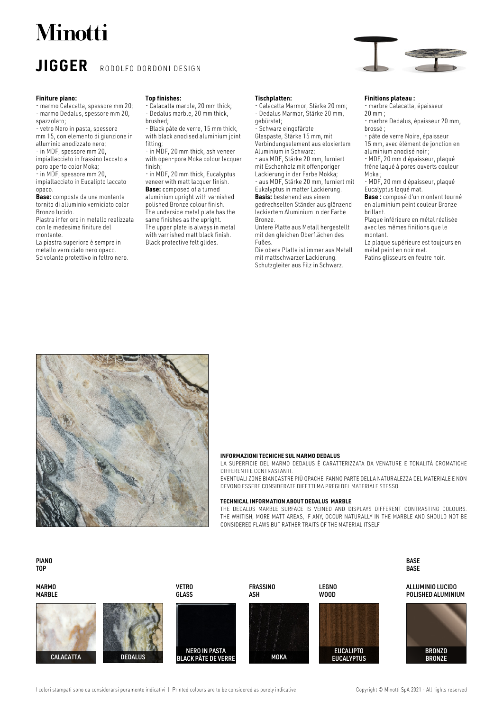## **Minotti**

### **JIGGER** RODOLFO DORDONI DESIGN

#### **Finiture piano:**

- marmo Calacatta, spessore mm 20; - marmo Dedalus, spessore mm 20, spazzolato;

- vetro Nero in pasta, spessore mm 15, con elemento di giunzione in alluminio anodizzato nero;

- in MDF, spessore mm 20,

impiallacciato in frassino laccato a poro aperto color Moka;

- in MDF, spessore mm 20,

impiallacciato in Eucalipto laccato opaco.

**Base:** composta da una montante tornito di alluminio verniciato color Bronzo lucido.

Piastra inferiore in metallo realizzata con le medesime finiture del

#### montante.

La piastra superiore è sempre in metallo verniciato nero opaco.

Scivolante protettivo in feltro nero.

#### **Top finishes:**

Calacatta marble, 20 mm thick; - Dedalus marble, 20 mm thick,

brushed; - Black pâte de verre, 15 mm thick, with black anodised aluminium joint fitting;

- in MDF, 20 mm thick, ash veneer with open-pore Moka colour lacquer finish;

- in MDF, 20 mm thick, Eucalyptus veneer with matt lacquer finish. **Base:** composed of a turned aluminium upright with varnished polished Bronze colour finish. The underside metal plate has the same finishes as the upright. The upper plate is always in metal with varnished matt black finish. Black protective felt glides.

#### **Tischplatten:**

- Calacatta Marmor, Stärke 20 mm; - Dedalus Marmor, Stärke 20 mm, gebürstet;

- Schwarz eingefärbte

Glaspaste, Stärke 15 mm, mit Verbindungselement aus eloxiertem Aluminium in Schwarz;

- aus MDF, Stärke 20 mm, furniert mit Eschenholz mit offenporiger Lackierung in der Farbe Mokka; - aus MDF, Stärke 20 mm, furniert mit

Eukalyptus in matter Lackierung. **Basis:** bestehend aus einem gedrechselten Ständer aus glänzend lackiertem Aluminium in der Farbe Bronze.

Untere Platte aus Metall hergestellt mit den gleichen Oberflächen des Fußes.

Die obere Platte ist immer aus Metall mit mattschwarzer Lackierung. Schutzgleiter aus Filz in Schwarz.

#### **Finitions plateau :**

- marbre Calacatta, épaisseur 20 mm ;

- marbre Dedalus, épaisseur 20 mm, brossé ;

- pâte de verre Noire, épaisseur 15 mm, avec élément de jonction en

aluminium anodisé noir ; - MDF, 20 mm d'épaisseur, plaqué

frêne laqué à pores ouverts couleur Moka ;

- MDF, 20 mm d'épaisseur, plaqué Eucalyptus laqué mat.

**Base :** composé d'un montant tourné en aluminium peint couleur Bronze brillant.

Plaque inférieure en métal réalisée avec les mêmes finitions que le montant.

La plaque supérieure est toujours en métal peint en noir mat.

Patins glisseurs en feutre noir.



#### **INFORMAZIONI TECNICHE SUL MARMO DEDALUS**

LA SUPERFICIE DEL MARMO DEDALUS È CARATTERIZZATA DA VENATURE E TONALITÀ CROMATICHE DIFFERENTI E CONTRASTANTI.

EVENTUALI ZONE BIANCASTRE PIÙ OPACHE FANNO PARTE DELL A NATURALEZZA DEL MATERIALE E NON DEVONO ESSERE CONSIDERATE DIFETTI MA PREGI DEL MATERIALE STESSO.

#### **TECHNICAL INFORMATION ABOUT DEDALUS MARBLE**

THE DEDALUS MARBLE SURFACE IS VEINED AND DISPLAYS DIFFERENT CONTRASTING COLOURS. THE WHITISH, MORE MATT AREAS, IF ANY, OCCUR NATURALLY IN THE MARBLE AND SHOULD NOT BE CONSIDERED FL AWS BUT RATHER TRAITS OF THE MATERIAL ITSELF.

PIANO TOP

MARMO MARBLE ALLUMINIO LUCIDO POLISHED ALUMINIUM VETRO **GLASS** NERO IN PASTA BLACK PÂTE DE VERRE CALACATTA DEDALUS BRONZE LEGNO WOOD **FRASSINO** ASH **EUCALIPTO** MOKA EUCALYPTUS BRONZO

I colori stampati sono da considerarsi puramente indicativi | Printed colours are to be considered as purely indicative Copyright © Minotti SpA 2021 - All rights reserved